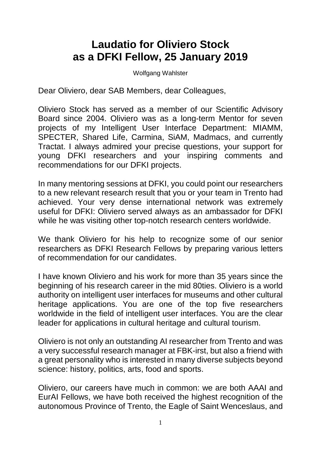## **Laudatio for Oliviero Stock as a DFKI Fellow, 25 January 2019**

Wolfgang Wahlster

Dear Oliviero, dear SAB Members, dear Colleagues,

Oliviero Stock has served as a member of our Scientific Advisory Board since 2004. Oliviero was as a long-term Mentor for seven projects of my Intelligent User Interface Department: MIAMM, SPECTER, Shared Life, Carmina, SiAM, Madmacs, and currently Tractat. I always admired your precise questions, your support for young DFKI researchers and your inspiring comments and recommendations for our DFKI projects.

In many mentoring sessions at DFKI, you could point our researchers to a new relevant research result that you or your team in Trento had achieved. Your very dense international network was extremely useful for DFKI: Oliviero served always as an ambassador for DFKI while he was visiting other top-notch research centers worldwide.

We thank Oliviero for his help to recognize some of our senior researchers as DFKI Research Fellows by preparing various letters of recommendation for our candidates.

I have known Oliviero and his work for more than 35 years since the beginning of his research career in the mid 80ties. Oliviero is a world authority on intelligent user interfaces for museums and other cultural heritage applications. You are one of the top five researchers worldwide in the field of intelligent user interfaces. You are the clear leader for applications in cultural heritage and cultural tourism.

Oliviero is not only an outstanding AI researcher from Trento and was a very successful research manager at FBK-irst, but also a friend with a great personality who is interested in many diverse subjects beyond science: history, politics, arts, food and sports.

Oliviero, our careers have much in common: we are both AAAI and EurAI Fellows, we have both received the highest recognition of the autonomous Province of Trento, the Eagle of Saint Wenceslaus, and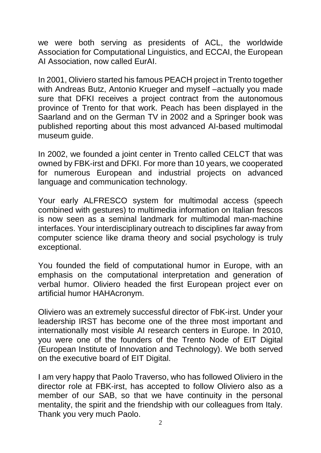we were both serving as presidents of ACL, the worldwide Association for Computational Linguistics, and ECCAI, the European AI Association, now called EurAI.

In 2001, Oliviero started his famous PEACH project in Trento together with Andreas Butz, Antonio Krueger and myself –actually you made sure that DFKI receives a project contract from the autonomous province of Trento for that work. Peach has been displayed in the Saarland and on the German TV in 2002 and a Springer book was published reporting about this most advanced AI-based multimodal museum guide.

In 2002, we founded a joint center in Trento called CELCT that was owned by FBK-irst and DFKI. For more than 10 years, we cooperated for numerous European and industrial projects on advanced language and communication technology.

Your early ALFRESCO system for multimodal access (speech combined with gestures) to multimedia information on Italian frescos is now seen as a seminal landmark for multimodal man-machine interfaces. Your interdisciplinary outreach to disciplines far away from computer science like drama theory and social psychology is truly exceptional.

You founded the field of computational humor in Europe, with an emphasis on the computational interpretation and generation of verbal humor. Oliviero headed the first European project ever on artificial humor HAHAcronym.

Oliviero was an extremely successful director of FbK-irst. Under your leadership IRST has become one of the three most important and internationally most visible AI research centers in Europe. In 2010, you were one of the founders of the Trento Node of EIT Digital (European Institute of Innovation and Technology). We both served on the executive board of EIT Digital.

I am very happy that Paolo Traverso, who has followed Oliviero in the director role at FBK-irst, has accepted to follow Oliviero also as a member of our SAB, so that we have continuity in the personal mentality, the spirit and the friendship with our colleagues from Italy. Thank you very much Paolo.